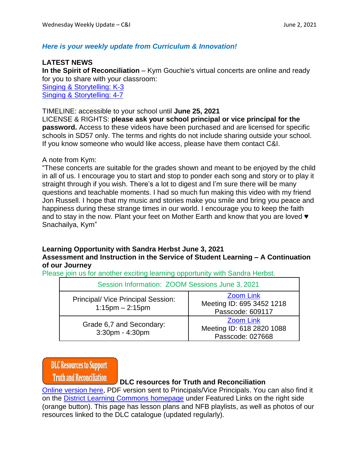#### *Here is your weekly update from Curriculum & Innovation!*

#### **LATEST NEWS**

**In the Spirit of Reconciliation** – Kym Gouchie's virtual concerts are online and ready for you to share with your classroom: Singing & [Storytelling:](https://vimeo.com/552209620) K-3

Singing & [Storytelling:](https://vimeo.com/551628003) 4-7

#### TIMELINE: accessible to your school until **June 25, 2021**

LICENSE & RIGHTS: **please ask your school principal or vice principal for the password.** Access to these videos have been purchased and are licensed for specific schools in SD57 only. The terms and rights do not include sharing outside your school. If you know someone who would like access, please have them contact C&I.

#### A note from Kym:

"These concerts are suitable for the grades shown and meant to be enjoyed by the child in all of us. I encourage you to start and stop to ponder each song and story or to play it straight through if you wish. There's a lot to digest and I'm sure there will be many questions and teachable moments. I had so much fun making this video with my friend Jon Russell. I hope that my music and stories make you smile and bring you peace and happiness during these strange times in our world. I encourage you to keep the faith and to stay in the now. Plant your feet on Mother Earth and know that you are loved  $\blacktriangledown$ Snachailya, Kym"

### **Learning Opportunity with Sandra Herbst June 3, 2021**

#### **Assessment and Instruction in the Service of Student Learning – A Continuation of our Journey**

Please join us for another exciting learning opportunity with Sandra Herbst.

| Session Information: ZOOM Sessions June 3, 2021             |                                                                   |  |
|-------------------------------------------------------------|-------------------------------------------------------------------|--|
| Principal/ Vice Principal Session:<br>$1:15$ pm $- 2:15$ pm | <b>Zoom Link</b><br>Meeting ID: 695 3452 1218<br>Passcode: 609117 |  |
| Grade 6,7 and Secondary:<br>3:30pm - 4:30pm                 | <b>Zoom Link</b><br>Meeting ID: 618 2820 1088<br>Passcode: 027668 |  |

**DLC Resources to Support** 

**Truth and Reconciliation** 

#### **DLC resources for Truth and Reconciliation**

Online [version](https://prin.ent.sirsidynix.net/client/en_US/dlc/?rm=ORANGE+SHIRT+D0%7C%7C%7C1%7C%7C%7C1%7C%7C%7Ctrue&dt=list) here, PDF version sent to Principals/Vice Principals. You can also find it on the District Learning Commons [homepage](https://prin.ent.sirsidynix.net/client/en_US/dlc) under Featured Links on the right side (orange button). This page has lesson plans and NFB playlists, as well as photos of our resources linked to the DLC catalogue (updated regularly).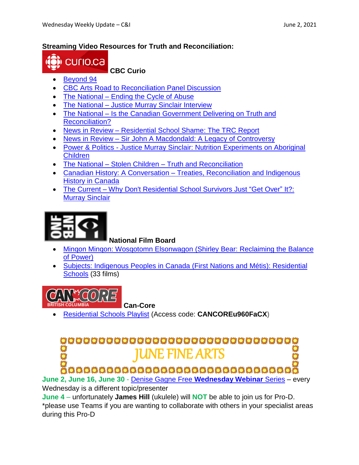#### **Streaming Video Resources for Truth and Reconciliation:**



#### **CBC Curio**

- [Beyond](https://newsinteractives.cbc.ca/longform-single/beyond-94?&cta=1) 94
- CBC Arts Road to [Reconciliation](https://curio.ca/en/video/cbc-arts-road-to-reconciliation-panel-discussion-12161/) Panel Discussion
- The [National](https://curio.ca/en/video/ending-the-cycle-of-abuse-6408/) Ending the Cycle of Abuse
- The National Justice Murray Sinclair [Interview](https://curio.ca/en/video/justice-murray-sinclair-interview-6933/)
- The National Is the Canadian [Government](https://curio.ca/en/video/is-the-canadian-government-delivering-on-truth-and-reconciliation-17206/) Delivering on Truth and [Reconciliation?](https://curio.ca/en/video/is-the-canadian-government-delivering-on-truth-and-reconciliation-17206/)
- News in Review [Residential](https://curio.ca/en/video/residential-school-shame-the-trc-report-6990/) School Shame: The TRC Report
- News in Review Sir John A [Macdondald:](https://curio.ca/en/video/sir-john-a-macdonald-a-legacy-of-controversy-19843/) A Legacy of Controversy
- Power & Politics Justice Murray Sinclair: Nutrition [Experiments](https://curio.ca/en/video/justice-murray-sinclair-nutrition-experiments-on-aboriginal-children-3549/) on Aboriginal [Children](https://curio.ca/en/video/justice-murray-sinclair-nutrition-experiments-on-aboriginal-children-3549/)
- The National Stolen Children Truth and [Reconciliation](https://curio.ca/en/video/stolen-children-truth-and-reconciliation-1055/)
- Canadian History: A Conversation Treaties, [Reconciliation](https://curio.ca/en/video/treaties-reconciliation-and-indigenous-history-in-canada-15289/) and Indigenous History in [Canada](https://curio.ca/en/video/treaties-reconciliation-and-indigenous-history-in-canada-15289/)
- The Current Why Don't [Residential](The%20Current%20–%20Why%20Don) School Survivors Just "Get Over" It?: Murray [Sinclair](The%20Current%20–%20Why%20Don)



**National Film Board**

- Minqon Minqon: Wosqotomn [Elsonwagon](Minqon%20Minqon:%20Wosqotomn%20Elsonwagon%20(Shirley%20Bear:%20Reclaiming%20the%20Balance%20of%20Power)) (Shirley Bear: Reclaiming the Balance of [Power\)](Minqon%20Minqon:%20Wosqotomn%20Elsonwagon%20(Shirley%20Bear:%20Reclaiming%20the%20Balance%20of%20Power))
- Subjects: Indigenous Peoples in Canada (First Nations and Métis): [Residential](https://www.nfb.ca/subjects/indigenous-peoples-in-canada-first-nations-and-metis/residential-schools/) [Schools](https://www.nfb.ca/subjects/indigenous-peoples-in-canada-first-nations-and-metis/residential-schools/) (33 films)



- **Can-Core**
- [Residential](https://www.can-core.ca/studentlist/1549) Schools Playlist (Access code: **CANCOREu960FaCX)**

# 0000000000000000000000000000000 **JUNE FINE ARTS**

întrantatul de de de de de de de de de d

**June 2, June 16, June 30** - Denise Gagne Free **[Wednesday Webinar](https://www.musicplaycanada.com/collections/workshops)** Series – every Wednesday is a different topic/presenter

**June 4** – unfortunately **James Hill** (ukulele) will **NOT** be able to join us for Pro-D. \*please use Teams if you are wanting to collaborate with others in your specialist areas during this Pro-D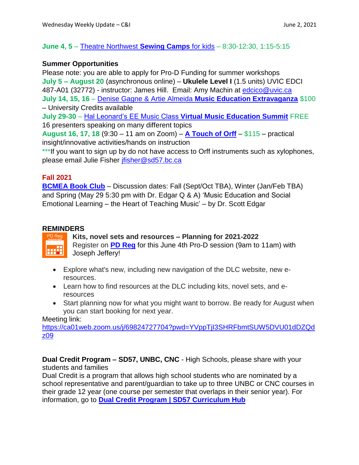#### **June 4, 5** – [Theatre Northwest](https://tickets.theatrenorthwest.com/TheatreManager/1/online?event=0) **Sewing Camps** for kids – 8:30-12:30, 1:15-5:15

#### **Summer Opportunities**

Please note: you are able to apply for Pro-D Funding for summer workshops **July 5 – August 20** (asynchronous online) – **Ukulele Level I** (1.5 units) UVIC EDCI 487-A01 (32772) - instructor: James Hill. Email: Amy Machin at [edcico@uvic.ca](mailto:edcico@uvic.ca)  **July 14, 15, 16** – Denise Gagne & Artie Almeida **[Music Education Extravaganza](https://www.musicplaycanada.com/products/artie-denise-s-music-education-extravaganza)** \$100 – University Credits available **July 29-30** – Hal Leonard's EE Music Class **[Virtual Music Education Summit](https://www.halleonard.com/edusummit)** FREE

16 presenters speaking on many different topics

**August 16, 17, 18** (9:30 – 11 am on Zoom) – **[A Touch of Orff](https://www.bcorff.ca/course/a-touch-of-orff-online-summer-course/)** – \$115 – practical insight/innovative activities/hands on instruction

\*\*\*If you want to sign up by do not have access to Orff instruments such as xylophones, please email Julie Fisher [jfisher@sd57.bc.ca](mailto:jfisher@sd57.bc.ca)

#### **Fall 2021**

**[BCMEA Book Club](https://docs.google.com/forms/d/e/1FAIpQLSeHvCgHKBkUAx4gcJ2PaJShb0nQm2CwTYJZOij2RUBs55C__Q/viewform)** – Discussion dates: Fall (Sept/Oct TBA), Winter (Jan/Feb TBA) and Spring (May 29 5:30 pm with Dr. Edgar Q & A) 'Music Education and Social Emotional Learning – the Heart of Teaching Music' – by Dr. Scott Edgar

#### **REMINDERS**

<u>ledi</u> |

#### PD Reg **Kits, novel sets and resources – Planning for 2021-2022**

Register on **PD [Reg](https://apps.powerapps.com/play/4eceb8ec-7e63-4ffa-bf7c-35490d32df6b)** for this June 4th Pro-D session (9am to 11am) with Joseph Jeffery!

- Explore what's new, including new navigation of the DLC website, new eresources.
- Learn how to find resources at the DLC including kits, novel sets, and eresources
- Start planning now for what you might want to borrow. Be ready for August when you can start booking for next year.

Meeting link:

[https://ca01web.zoom.us/j/69824727704?pwd=YVppTjI3SHRFbmtSUW5DVU01dDZQd](https://ca01web.zoom.us/j/69824727704?pwd=YVppTjI3SHRFbmtSUW5DVU01dDZQdz09) [z09](https://ca01web.zoom.us/j/69824727704?pwd=YVppTjI3SHRFbmtSUW5DVU01dDZQdz09)

**Dual Credit Program – SD57, UNBC, CNC** - High Schools, please share with your students and families

Dual Credit is a program that allows high school students who are nominated by a school representative and parent/guardian to take up to three UNBC or CNC courses in their grade 12 year (one course per semester that overlaps in their senior year). For information, go to **Dual Credit Program | SD57 [Curriculum](https://www.sd57curriculumhub.com/dual-credit-program) Hub**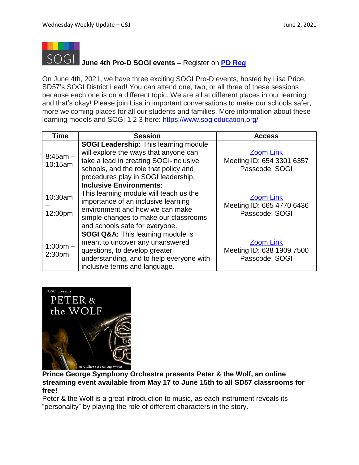

## **June 4th Pro-D SOGI events –** Register on **PD [Reg](https://apps.powerapps.com/play/4eceb8ec-7e63-4ffa-bf7c-35490d32df6b)**

On June 4th, 2021, we have three exciting SOGI Pro-D events, hosted by Lisa Price, SD57's SOGI District Lead! You can attend one, two, or all three of these sessions because each one is on a different topic. We are all at different places in our learning and that's okay! Please join Lisa in important conversations to make our schools safer, more welcoming places for all our students and families. More information about these learning models and SOGI 1 2 3 here: <https://www.sogieducation.org/>

| <b>Time</b>                         | <b>Session</b>                                                                                                                                                                                                                | <b>Access</b>                                                   |
|-------------------------------------|-------------------------------------------------------------------------------------------------------------------------------------------------------------------------------------------------------------------------------|-----------------------------------------------------------------|
| $8:45am -$<br>10:15am               | <b>SOGI Leadership:</b> This learning module<br>will explore the ways that anyone can<br>take a lead in creating SOGI-inclusive<br>schools, and the role that policy and<br>procedures play in SOGI leadership.               | <b>Zoom Link</b><br>Meeting ID: 654 3301 6357<br>Passcode: SOGI |
| 10:30am<br>12:00pm                  | <b>Inclusive Environments:</b><br>This learning module will teach us the<br>importance of an inclusive learning<br>environment and how we can make<br>simple changes to make our classrooms<br>and schools safe for everyone. | <b>Zoom Link</b><br>Meeting ID: 665 4770 6436<br>Passcode: SOGI |
| $1:00$ pm $-$<br>2:30 <sub>pm</sub> | SOGI Q&A: This learning module is<br>meant to uncover any unanswered<br>questions, to develop greater<br>understanding, and to help everyone with<br>inclusive terms and language.                                            | <b>Zoom Link</b><br>Meeting ID: 638 1909 7500<br>Passcode: SOGI |



#### **Prince George Symphony Orchestra presents Peter & the Wolf, an online streaming event available from May 17 to June 15th to all SD57 classrooms for free!**

Peter & the Wolf is a great introduction to music, as each instrument reveals its "personality" by playing the role of different characters in the story.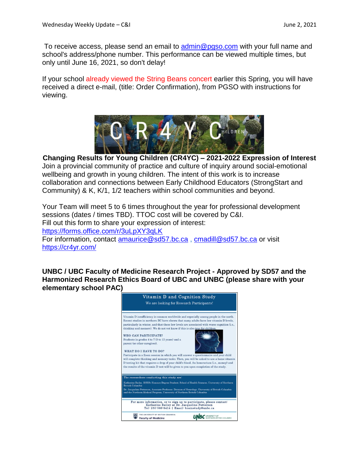To receive access, please send an email to [admin@pgso.com](mailto:admin@pgso.com) with your full name and school's address/phone number. This performance can be viewed multiple times, but only until June 16, 2021, so don't delay!

If your school already viewed the String Beans concert earlier this Spring, you will have received a direct e-mail, (title: Order Confirmation), from PGSO with instructions for viewing.



**Changing Results for Young Children (CR4YC) – 2021-2022 Expression of Interest** Join a provincial community of practice and culture of inquiry around social-emotional wellbeing and growth in young children. The intent of this work is to increase collaboration and connections between Early Childhood Educators (StrongStart and Community) & K, K/1, 1/2 teachers within school communities and beyond.

Your Team will meet 5 to 6 times throughout the year for professional development sessions (dates / times TBD). TTOC cost will be covered by C&I. Fill out this form to share your expression of interest: <https://forms.office.com/r/3uLpXY3qLK> For information, contact [amaurice@sd57.bc.ca](mailto:amaurice@sd57.bc.ca), [cmadill@sd57.bc.ca](mailto:cmadill@sd57.bc.ca) or visit <https://cr4yr.com/>

**UNBC / UBC Faculty of Medicine Research Project - Approved by SD57 and the Harmonized Research Ethics Board of UBC and UNBC (please share with your elementary school PAC)**

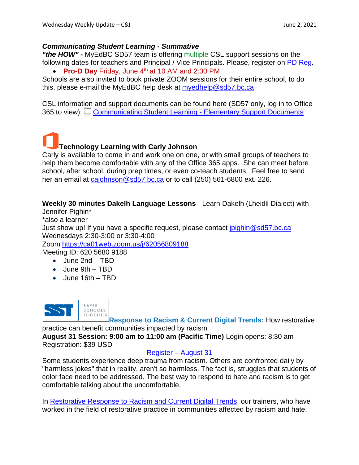#### *Communicating Student Learning - Summative*

*"the HOW" -* MyEdBC SD57 team is offering multiple CSL support sessions on the following dates for teachers and Principal / Vice Principals. Please, register on PD [Reg.](https://apps.powerapps.com/play/4eceb8ec-7e63-4ffa-bf7c-35490d32df6b)

**Pro-D Day** Friday, June 4 th at 10 AM and 2:30 PM

Schools are also invited to book private ZOOM sessions for their entire school, to do this, please e-mail the MyEdBC help desk at [myedhelp@sd57.bc.ca](mailto:myedhelp@sd57.bc.ca)

CSL information and support documents can be found here (SD57 only, log in to Office 365 to view):  $\Box$  [Communicating](https://schdist57.sharepoint.com/sites/MyEdBCDistComm/Shared%20Documents/Forms/AllItems.aspx?csf=1&web=1&e=jVBDie&cid=63244f23%2D9ca2%2D4625%2D88c9%2D5d9c439765a7&FolderCTID=0x0120001C11B32DBC77404EB51AC9E01110FB63&viewid=564387bf%2D6971%2D4636%2Da84e%2Dfe78392cb454&id=%2Fsites%2FMyEdBCDistComm%2FShared%20Documents%2FGrade%20Input%20and%20Report%20Cards%2FCommunicating%20Student%20Learning%20%2D%20Elementary%20Support%20Documents) Student Learning - Elementary Support Documents

**Technology Learning with Carly Johnson**

Carly is available to come in and work one on one, or with small groups of teachers to help them become comfortable with any of the Office 365 apps. She can meet before school, after school, during prep times, or even co-teach students. Feel free to send her an email at [cajohnson@sd57.bc.ca](mailto:cajohnson@sd57.bc.ca) or to call (250) 561-6800 ext. 226.

**Weekly 30 minutes Dakelh Language Lessons** - Learn Dakelh (Lheidli Dialect) with Jennifer Pighin\*

\*also a learner Just show up! If you have a specific request, please contact [jpighin@sd57.bc.ca](mailto:jpighin@sd57.bc.ca) Wednesdays 2:30-3:00 or 3:30-4:00 Zoom <https://ca01web.zoom.us/j/62056809188> Meeting ID: 620 5680 9188

- June 2nd TBD
- June 9th TBD
- June 16th TBD



**Response to Racism & Current Digital Trends:** How restorative

practice can benefit communities impacted by racism **August 31 Session: 9:00 am to 11:00 am (Pacific Time)** Login opens: 8:30 am Registration: \$39 USD

#### [Register –](https://saferschoolstogether.com/tc-events/restorative-response-to-racism-current-digital-trends-aug-31-2021/) August 31

Some students experience deep trauma from racism. Others are confronted daily by "harmless jokes" that in reality, aren't so harmless. The fact is, struggles that students of color face need to be addressed. The best way to respond to hate and racism is to get comfortable talking about the uncomfortable.

In [Restorative](https://saferschoolstogether.cmail20.com/t/t-l-mhhza-vkriulilr-y/) Response to Racism and Current Digital Trends, our trainers, who have worked in the field of restorative practice in communities affected by racism and hate,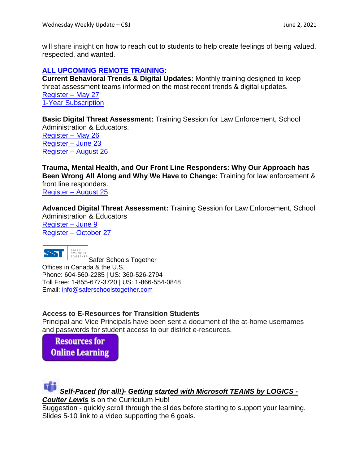will share insight on how to reach out to students to help create feelings of being valued, respected, and wanted.

#### **ALL [UPCOMING](https://saferschoolstogether.cmail19.com/t/t-l-mtuutul-vkriulilr-c/) REMOTE TRAINING:**

**Current Behavioral Trends & Digital Updates:** Monthly training designed to keep threat assessment teams informed on the most recent trends & digital updates. [Register](https://saferschoolstogether.com/tc-events/current-behavioral-trends-digital-updates-may-27-2021/) – May 27 1-Year [Subscription](https://saferschoolstogether.cmail19.com/t/t-l-mtuutul-vkriulilr-b/)

**Basic Digital Threat Assessment:** Training Session for Law Enforcement, School Administration & Educators.

[Register –](https://saferschoolstogether.cmail19.com/t/t-l-mtuutul-vkriulilr-p/) May 26 [Register –](https://saferschoolstogether.com/tc-events/basic-digital-threat-assessment-training-jun-23-2021/) June 23 [Register –](https://saferschoolstogether.com/tc-events/basic-digital-threat-assessment-training-aug-26-2021/) August 26

**Trauma, Mental Health, and Our Front Line Responders: Why Our Approach has Been Wrong All Along and Why We Have to Change:** Training for law enforcement & front line responders. [Register –](https://saferschoolstogether.com/tc-events/trauma-mental-health-and-our-front-line-responders-why-our-approach-has-been-wrong-all-along-and-why-we-have-to-change-aug-25-2021/) August 25

**Advanced Digital Threat Assessment:** Training Session for Law Enforcement, School Administration & Educators [Register](https://saferschoolstogether.cmail19.com/t/t-l-mtuutul-vkriulilr-m/) – June 9 Register – [October 27](https://saferschoolstogether.com/tc-events/advanced-digital-threat-assessment-training-oct-27-2021/)



Safer Schools Together Offices in Canada & the U.S. Phone: 604-560-2285 | US: 360-526-2794 Toll Free: 1-855-677-3720 | US: 1-866-554-0848 Email: [info@saferschoolstogether.com](mailto:info@saferschoolstogether.com)

#### **Access to E-Resources for Transition Students**

Principal and Vice Principals have been sent a document of the at-home usernames and passwords for student access to our district e-resources.

**Resources for Online Learning** 



Suggestion - quickly scroll through the slides before starting to support your learning. Slides 5-10 link to a video supporting the 6 goals.